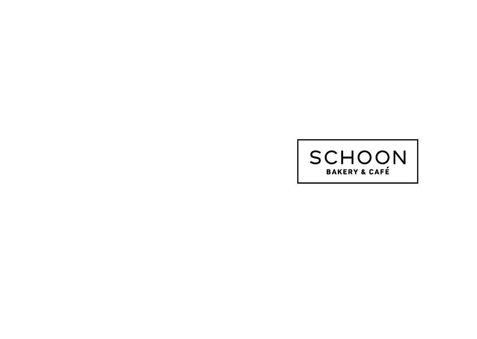# **SCHOON**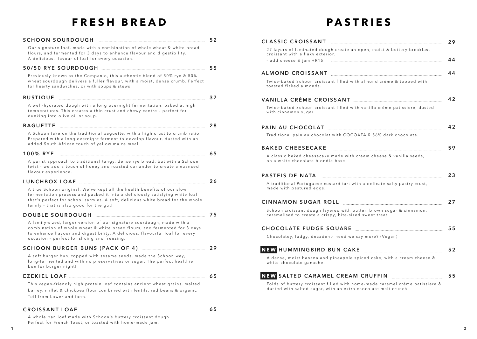## **FRESH BREAD**

## **PASTRIES**

| SCHOON SOURDOUGH MANUAL MANUAL MANUAL 52                                                                                                                                                                     |  | CLASSIC CROISSANT 29                                                                                                                                                                                                                 |    |
|--------------------------------------------------------------------------------------------------------------------------------------------------------------------------------------------------------------|--|--------------------------------------------------------------------------------------------------------------------------------------------------------------------------------------------------------------------------------------|----|
| Our signature loaf, made with a combination of whole wheat & white bread<br>flours, and fermented for 3 days to enhance flavour and digestibility.<br>A delicious, flavourful loaf for every occasion.       |  | 27 layers of laminated dough create an open, moist & buttery breakfast<br>croissant with a flaky exterior.                                                                                                                           |    |
|                                                                                                                                                                                                              |  |                                                                                                                                                                                                                                      |    |
| Previously known as the Companio, this authentic blend of 50% rye & 50%                                                                                                                                      |  |                                                                                                                                                                                                                                      |    |
| wheat sourdough delivers a fuller flavour, with a moist, dense crumb. Perfect<br>for hearty sandwiches, or with soups & stews.                                                                               |  | Twice-baked Schoon croissant filled with almond crème & topped with<br>toasted flaked almonds.                                                                                                                                       |    |
| RUSTIQUE 27                                                                                                                                                                                                  |  | VANILLA CRÈME CROISSANT MARIE ANNIVERSITY 42                                                                                                                                                                                         |    |
| A well-hydrated dough with a long overnight fermentation, baked at high<br>temperatures. This creates a thin crust and chewy centre - perfect for<br>dunking into olive oil or soup.                         |  | Twice-baked Schoon croissant filled with vanilla crème patissiere, dusted<br>with cinnamon sugar.                                                                                                                                    |    |
| BAGUETTE 28                                                                                                                                                                                                  |  |                                                                                                                                                                                                                                      | 42 |
| A Schoon take on the traditional baguette, with a high crust to crumb ratio.<br>Prepared with a long overnight ferment to develop flavour, dusted with an<br>added South African touch of yellow maize meal. |  | Traditional pain au chocolat with COCOAFAIR 56% dark chocolate.                                                                                                                                                                      |    |
|                                                                                                                                                                                                              |  |                                                                                                                                                                                                                                      |    |
| 100% RYE 55                                                                                                                                                                                                  |  | A classic baked cheesecake made with cream cheese & vanilla seeds,<br>on a white chocolate blondie base.                                                                                                                             |    |
| A purist approach to traditional tangy, dense rye bread, but with a Schoon<br>twist - we add a touch of honey and roasted coriander to create a nuanced<br>flavour experience.                               |  |                                                                                                                                                                                                                                      |    |
| LUNCHBOX LOAF 26                                                                                                                                                                                             |  | PASTEIS DE NATA <b>Entrepreneur de la production de la production de la production de la production de la production de la production de la production de la production de la production de la production de la production de la</b> |    |
| A true Schoon original. We've kept all the health benefits of our slow<br>fermentation process and packed it into a deliciously satisfying white loaf                                                        |  | A traditional Portuguese custard tart with a delicate salty pastry crust,<br>made with pastured eggs.                                                                                                                                |    |
| that's perfect for school sarmies. A soft, delicious white bread for the whole<br>family - that is also good for the gut!                                                                                    |  | CINNAMON SUGAR ROLL <b>EXAMPLE 27</b>                                                                                                                                                                                                |    |
|                                                                                                                                                                                                              |  | Schoon croissant dough layered with butter, brown sugar & cinnamon,<br>caramalised to create a crispy, bite-sized sweet treat.                                                                                                       |    |
| A family-sized, larger version of our signature sourdough, made with a                                                                                                                                       |  |                                                                                                                                                                                                                                      |    |
| combination of whole wheat & white bread flours, and fermented for 3 days<br>to enhance flavour and digestibility. A delicious, flavourful loaf for every                                                    |  | CHOCOLATE FUDGE SQUARE <b>Entire Example 25</b> SS                                                                                                                                                                                   |    |
| occasion - perfect for slicing and freezing.                                                                                                                                                                 |  | Chocolatey, fudgy, decadent- need we say more? (Vegan)                                                                                                                                                                               |    |
|                                                                                                                                                                                                              |  | NEW HUMMINGBIRD BUN CAKE MARKE AND THE MANUSCRIPTION OF THE MANUSCRIPTION OF THE MANUSCRIPTION OF THE MANUSCRIPTION                                                                                                                  | 52 |
| A soft burger bun, topped with sesame seeds, made the Schoon way,<br>long-fermented and with no preservatives or sugar. The perfect healthier<br>bun for burger night!                                       |  | A dense, moist banana and pineapple spiced cake, with a cream cheese &<br>white chocolate ganache.                                                                                                                                   |    |
|                                                                                                                                                                                                              |  | NEW SALTED CARAMEL CREAM CRUFFIN                                                                                                                                                                                                     | 55 |
| This vegan-friendly high protein loaf contains ancient wheat grains, malted<br>barley, millet & chickpea flour combined with lentils, red beans & organic<br>Teff from Lowerland farm.                       |  | Folds of buttery croissant filled with home-made caramel crème patissiere &<br>dusted with salted sugar, with an extra chocolate malt crunch.                                                                                        |    |

#### **CROISSANT LOAF 6 5**

A whole pan loaf made with Schoon's buttery croissant dough. Perfect for French Toast, or toasted with home-made jam.

|                                                                                                                                | 59 |
|--------------------------------------------------------------------------------------------------------------------------------|----|
| A classic baked cheesecake made with cream cheese & vanilla seeds,<br>on a white chocolate blondie base.                       |    |
| PASTEIS DE NATA                                                                                                                | 23 |
| A traditional Portuguese custard tart with a delicate salty pastry crust,<br>made with pastured eggs.                          |    |
| CINNAMON SUGAR ROLL CINNAMON                                                                                                   | 27 |
| Schoon croissant dough layered with butter, brown sugar & cinnamon,<br>caramalised to create a crispy, bite-sized sweet treat. |    |
| CHOCOLATE FUDGE SQUARE MARRE AND CHOCOLATE FUDGE SQUARE                                                                        | 55 |
| Chocolatey, fudgy, decadent- need we say more? (Vegan)                                                                         |    |
| NEW HUMMINGBIRD BUN CAKE MALLER AND THE WILLIAM STATE AND THE U.S. PERSON SERVED BUN CAKE                                      | 52 |
| A dense, moist banana and pineapple spiced cake, with a cream cheese &<br>white chocolate ganache.                             |    |
| NEW SALTED CARAMEL CREAM CRUFFIN                                                                                               | 55 |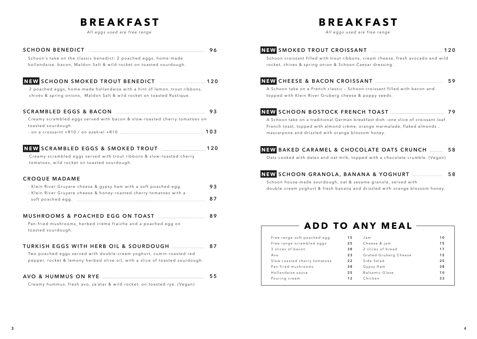## **BREAKFAST**

*All eggs used are free range*

## **BREAKFAST**

*All eggs used are free range*

#### **SCHOON BENEDICT 9 6**

Schoon's take on the classic benedict: 2 poached eggs, home-made hollandaise, bacon, Maldon Salt & wild rocket on toasted sourdough.

#### **NEW SCHOON SMOKED TROUT BENEDICT 120**

2 poached eggs, home-made hollandaise with a hint of lemon, trout ribbons, chives & spring onions, Maldon Salt & wild rocket on toasted Rustique.

#### **SCRAMBLED EGGS & BACON 9 3**

Creamy scrambled eggs served with bacon & slow-roasted cherry tomatoes on to a sted sourdough.

- on a crossaint +R10 / on ezekiel +R10 **103**

#### **NEW SCRAMBLED EGGS & SMOKED TROUT 120**

C reamy scrambled eggs served with trout ribbons & slow-roasted cherry tomatoes, wild rocket on toasted sourdough.

#### **CROQUE MADAME**

| - Klein River Gruyere cheese & gypsy ham with a soft poached egg.   | 93 |
|---------------------------------------------------------------------|----|
| - Klein River Gruyere cheese & honey-roasted cherry tomatoes with a |    |
| soft poached egg.                                                   | 87 |

#### **MUSHROOMS & POACHED EGG ON TOAST 8 9**

Pan-fried mushrooms, herbed crème fraiche and a poached egg on toasted sourdough.

#### **TURKISH EGGS WITH HERB OIL & SOURDOUGH 8 7**

Two poached eggs served with double-cream voghurt, cumin-roasted red pepper, rocket & lemony herbed olive oil, with a slice of toasted sourdough.

#### **AVO & HUMMUS ON RYE 5 5**

Creamy hummus, fresh avo, za'atar & wild rocket, on toasted rye. (Vegan)

| NEW SMOKED TROUT CROISSANT |  |  |  |  |
|----------------------------|--|--|--|--|
|----------------------------|--|--|--|--|

Schoon croissant filled with trout ribbons, cream cheese, fresh avocado and wild rocket, chives & spring onion & Schoon Caesar dressing.

#### **NEW CHEESE & BACON CROISSANT 5 9**

A Schoon take on a French classic - Schoon croissant filled with bacon and topped with Klein River Gruberg cheese & poppy seeds.

### **NEW SCHOON BOSTOCK FRENCH TOAST 7 9**

A Schoon take on a traditional German breakfast dish –one slice of croissant loaf French toast, topped with almond crème, orange marmalade, flaked almonds , mascarpone and drizzled with orange blossom honey.

#### **NEW BAKED CARAMEL & CHOCOLATE OATS CRUNCH 5 8**

Oats cooked with dates and oat milk, topped with a chocolate crumble. (Vegan)

#### **NEW SCHOON GRANOLA, BANANA & YOGHURT 5 8**

Schoon house-made sourdough, oat & sesame granola, served with double-cream yoghurt & fresh banana and drizzled with orange blossom honey.

### **ADD TO ANY MEAL**

| Free range soft poached egg  | 15 | Jam.                  | 10 |
|------------------------------|----|-----------------------|----|
| Free range scrambled eggs    | 25 | Cheese & jam          | 15 |
| 3 slices of bacon            | 38 | 2 slices of bread     | 17 |
| Avo                          | 23 | Grated Gruberg Cheese | 15 |
| Slow-roasted cherry tomatoes | 22 | Side Salad            | 25 |
| Pan-fried mushrooms          | 38 | Gypsy Ham             | 38 |
| Hollandaise sauce            | 25 | Balsamic Glaze        | 10 |
| Pouring cream                | 12 | Chicken               | 33 |
|                              |    |                       |    |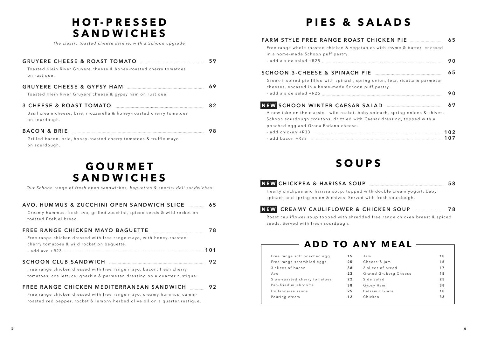## **H O T - P R E S S E D SANDWICHES**

*The classic toasted cheese sarmie, with a Schoon upgrade*

#### **GRUYERE CHEESE & ROAST TOMATO 5 9**

To a sted Klein River Gruyere cheese & honey-roasted cherry to matoes on rustique.

#### **GRUYERE CHEESE & GYPSY HAM 6 9**

Toasted Klein River Gruyere cheese & gypsy ham on rustique.

#### **3 CHEESE & ROAST TOMATO 8 2**

Basil cream cheese, brie, mozzarella & honey-roasted cherry tomatoes on sourdough.

| <b>BACON &amp; BRIE</b> |  |
|-------------------------|--|
|-------------------------|--|

Grilled bacon, brie, honey-roasted cherry tomatoes & truffle mayo on sourdough.

## **G O U R M E T SANDWICHES**

*Our Schoon range of fresh open sandwiches, baguettes & special deli sandwiches*

#### **AVO, HUMMUS & ZUCCHINI OPEN SANDWICH SLICE 6 5**

Creamy hummus, fresh avo, grilled zucchini, spiced seeds & wild rocket on toasted Ezekiel bread.

#### **FREE RANGE CHICKEN MAYO BAGUETTE 7 8**

Free range chicken dressed with free range mayo, with honey-roasted cherry tomatoes & wild rocket on baguette. - add avo +R23 **101**

#### **S C H O O N C L U B S A N D W I C H 9 2**

Free range chicken dressed with free range mayo, bacon, fresh cherry tomatoes, cos lettuce, gherkin & parmesan dressing on a quarter rustique.

#### **F R E E R A N G E C H I C K E N M E D I T E R R A N E A N S A N D W I C H 9 2**

Free range chicken dressed with free range mayo, creamy hummus, cuminroasted red pepper, rocket & lemony herbed olive oil on a quarter rustique.

## **PIES & SALADS**

| Free range whole roasted chicken & vegetables with thyme & butter, encased<br>in a home-made Schoon puff pastry.                      | 65         |
|---------------------------------------------------------------------------------------------------------------------------------------|------------|
|                                                                                                                                       | 90         |
|                                                                                                                                       | 65         |
| Greek-inspired pie filled with spinach, spring onion, feta, ricotta & parmesan<br>cheeses, encased in a home-made Schoon puff pastry. |            |
|                                                                                                                                       | 90         |
| NEW SCHOON WINTER CAESAR SALAD                                                                                                        | 69         |
| A new take on the classic - wild rocket, baby spinach, spring onions & chives,                                                        |            |
| Schoon sourdough croutons, drizzled with Caesar dressing, topped with a                                                               |            |
| poached egg and Grana Padano cheese.                                                                                                  |            |
| - add chicken +R33<br>- add bacon +R38                                                                                                | 102<br>107 |

## **SOUPS**

|                                                                         | 58 |
|-------------------------------------------------------------------------|----|
| Hearty chickpea and harissa soup, topped with double cream yogurt, baby |    |
| spinach and spring onion & chives. Served with fresh sourdough.         |    |



#### **NEW C R E A M Y C A U L I F L O W E R & C H I C K E N S O U P 7 8**

Roast cauliflower soup topped with shredded free range chicken breast & spiced seeds. Served with fresh sourdough.

## **ADD TO ANY MEAL**

| Free range soft poached egg  | 15 | Jam.                  | 10 |
|------------------------------|----|-----------------------|----|
| Free range scrambled eggs    | 25 | Cheese & jam          | 15 |
| 3 slices of bacon            | 38 | 2 slices of bread     | 17 |
| Avo                          | 23 | Grated Gruberg Cheese | 15 |
| Slow-roasted cherry tomatoes | 22 | Side Salad            | 25 |
| Pan-fried mushrooms          | 38 | Gypsy Ham             | 38 |
| Hollandaise sauce            | 25 | Balsamic Glaze        | 10 |
| Pouring cream                | 12 | Chicken               | 33 |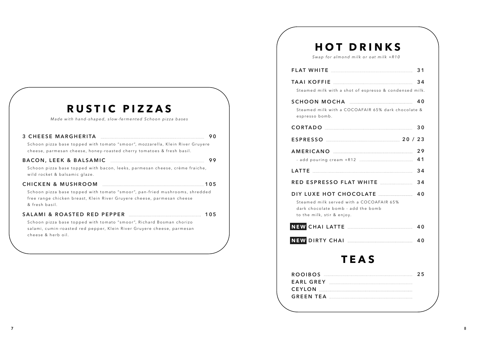| RUSTIC PIZZAS                                                                                                                                                               |
|-----------------------------------------------------------------------------------------------------------------------------------------------------------------------------|
| Made with hand-shaped, slow-fermented Schoon pizza bases                                                                                                                    |
| 90<br>Schoon pizza base topped with tomato "smoor", mozzarella, Klein River Gruyere<br>cheese, parmesan cheese, honey-roasted cherry tomatoes & fresh basil.                |
| 99<br>Schoon pizza base topped with bacon, leeks, parmesan cheese, crème fraiche,<br>wild rocket & balsamic glaze.                                                          |
| Schoon pizza base topped with tomato "smoor", pan-fried mushrooms, shredded<br>free range chicken breast, Klein River Gruyere cheese, parmesan cheese<br>& fresh basil.     |
| 105<br>Schoon pizza base topped with tomato "smoor", Richard Bosman chorizo<br>salami, cumin-roasted red pepper, Klein River Gruyere cheese, parmesan<br>cheese & herb oil. |

## **HOT DRINKS**

*Swap for almond milk or oat milk +R10*

|                                                                                                                                                                                                                                         | 31       |
|-----------------------------------------------------------------------------------------------------------------------------------------------------------------------------------------------------------------------------------------|----------|
| Steamed milk with a shot of espresso & condensed milk.                                                                                                                                                                                  | 34       |
| SCHOON MOCHA <b>Example 2018</b> 40<br>Steamed milk with a COCOAFAIR 65% dark chocolate &<br>espresso bomb.                                                                                                                             |          |
|                                                                                                                                                                                                                                         | 30       |
| ESPRESSO 23                                                                                                                                                                                                                             |          |
|                                                                                                                                                                                                                                         | 29<br>41 |
|                                                                                                                                                                                                                                         | 34       |
| RED ESPRESSO FLAT WHITE <b>whenever the filter of the second second</b>                                                                                                                                                                 | 34       |
| DIY LUXE HOT CHOCOLATE <b>with the contract to the contract of the contract of the contract of the contract of the </b><br>Steamed milk served with a COCOAFAIR 65%<br>dark chocolate bomb - add the bomb<br>to the milk, stir & enjoy. | 40       |
| NEW CHAI LATTE AND ARREST MEW CHAI LATTE                                                                                                                                                                                                | 40       |
|                                                                                                                                                                                                                                         | 40       |
| TEAS                                                                                                                                                                                                                                    |          |
| ROOIBOS 25                                                                                                                                                                                                                              |          |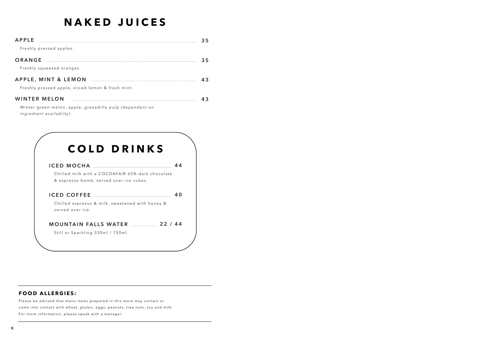## **NAKED JUICES**

| APPLE                                                                                | 35 |
|--------------------------------------------------------------------------------------|----|
| Freshly pressed apples.                                                              |    |
| ORANGE                                                                               | 35 |
| Freshly squeezed oranges.                                                            |    |
|                                                                                      |    |
| Freshly pressed apple, sliced lemon & fresh mint.                                    |    |
| <b>WINTER MELON</b>                                                                  |    |
| Winter green melon, apple, granadilla pulp (dependent on<br>ingredient availablity). |    |



#### **FOOD ALLERGIES:**

Please be advised that menu items prepared in this store may contain or come into contact with wheat, gluten, eggs, peanuts, tree nuts, soy and milk. For more information, please speak with a manager.